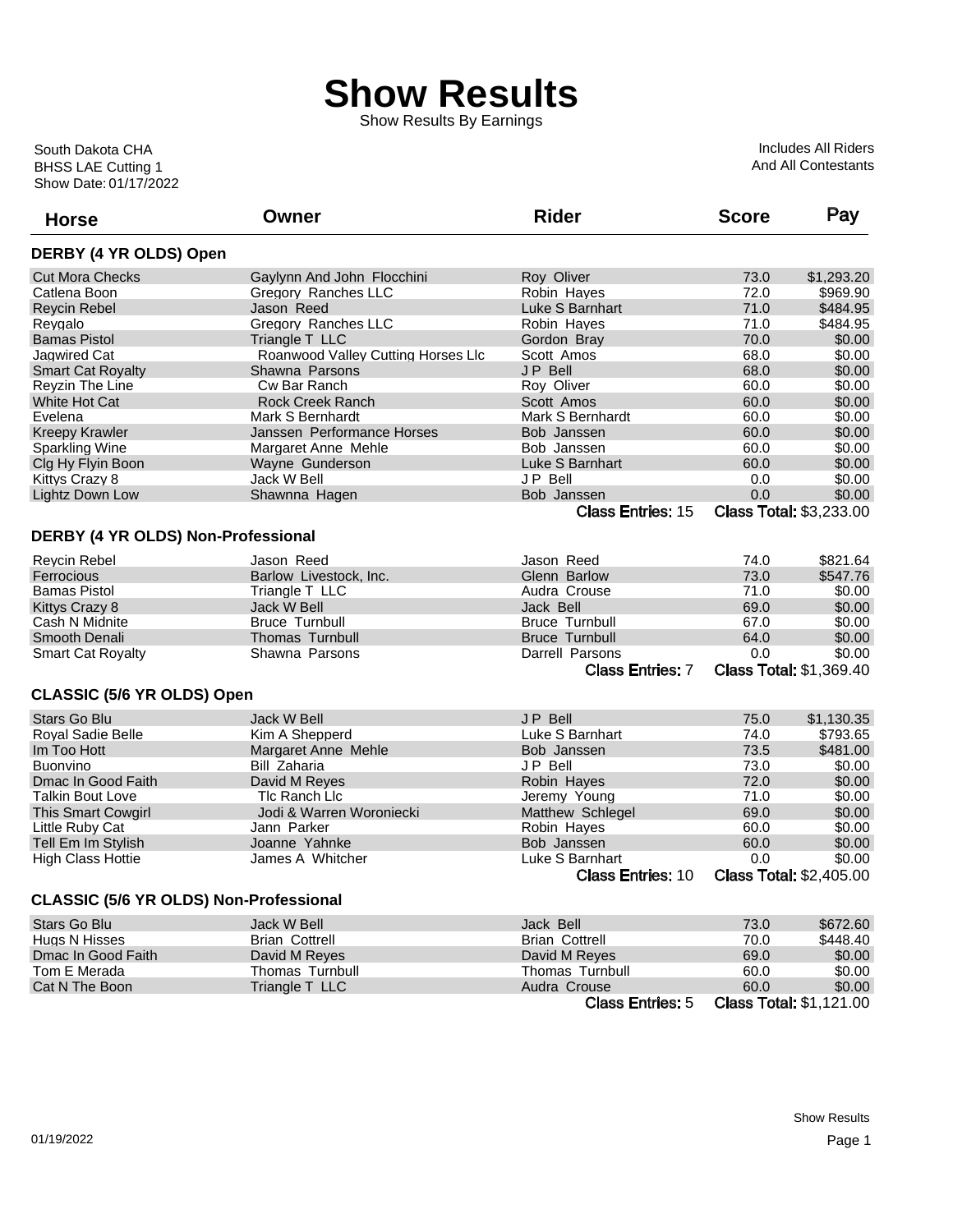## **Show Results**

Show Results By Earnings

Show Date: 01/17/2022 BHSS LAE Cutting 1 South Dakota CHA

Includes All Riders And All Contestants

| <b>Horse</b>                           | Owner                              | <b>Rider</b>             | <b>Score</b> | Pay                            |
|----------------------------------------|------------------------------------|--------------------------|--------------|--------------------------------|
| DERBY (4 YR OLDS) Open                 |                                    |                          |              |                                |
| <b>Cut Mora Checks</b>                 | Gaylynn And John Flocchini         | Roy Oliver               | 73.0         | \$1,293.20                     |
| Catlena Boon                           | Gregory Ranches LLC                | Robin Hayes              | 72.0         | \$969.90                       |
| <b>Reycin Rebel</b>                    | Jason Reed                         | Luke S Barnhart          | 71.0         | \$484.95                       |
| Revgalo                                | Gregory Ranches LLC                | Robin Hayes              | 71.0         | \$484.95                       |
| <b>Bamas Pistol</b>                    | Triangle T LLC                     | Gordon Bray              | 70.0         | \$0.00                         |
| Jagwired Cat                           | Roanwood Valley Cutting Horses Llc | Scott Amos               | 68.0         | \$0.00                         |
| <b>Smart Cat Royalty</b>               | Shawna Parsons                     | JP Bell                  | 68.0         | \$0.00                         |
| Reyzin The Line                        | Cw Bar Ranch                       | Roy Oliver               | 60.0         | \$0.00                         |
| White Hot Cat                          | <b>Rock Creek Ranch</b>            | Scott Amos               | 60.0         | \$0.00                         |
| Evelena                                | Mark S Bernhardt                   | Mark S Bernhardt         | 60.0         | \$0.00                         |
| <b>Kreepy Krawler</b>                  | Janssen Performance Horses         | Bob Janssen              | 60.0         | \$0.00                         |
| <b>Sparkling Wine</b>                  | Margaret Anne Mehle                | Bob Janssen              | 60.0         | \$0.00                         |
| Clg Hy Flyin Boon                      | Wayne Gunderson                    | Luke S Barnhart          | 60.0         | \$0.00                         |
| Kittys Crazy 8                         | Jack W Bell                        | JP Bell                  | 0.0          | \$0.00                         |
| Lightz Down Low                        | Shawnna Hagen                      | Bob Janssen              | 0.0          | \$0.00                         |
|                                        |                                    | <b>Class Entries: 15</b> |              | <b>Class Total: \$3,233.00</b> |
| DERBY (4 YR OLDS) Non-Professional     |                                    |                          |              |                                |
| <b>Reycin Rebel</b>                    | Jason Reed                         | Jason Reed               | 74.0         | \$821.64                       |
| Ferrocious                             | Barlow Livestock, Inc.             | Glenn Barlow             | 73.0         | \$547.76                       |
| <b>Bamas Pistol</b>                    | Triangle T LLC                     | Audra Crouse             | 71.0         | \$0.00                         |
| Kittys Crazy 8                         | Jack W Bell                        | Jack Bell                | 69.0         | \$0.00                         |
| Cash N Midnite                         | <b>Bruce Turnbull</b>              | <b>Bruce Turnbull</b>    | 67.0         | \$0.00                         |
| Smooth Denali                          | <b>Thomas Turnbull</b>             | <b>Bruce Turnbull</b>    | 64.0         | \$0.00                         |
| Smart Cat Royalty                      | Shawna Parsons                     | Darrell Parsons          | 0.0          | \$0.00                         |
|                                        |                                    | <b>Class Entries: 7</b>  |              | <b>Class Total: \$1,369.40</b> |
| CLASSIC (5/6 YR OLDS) Open             |                                    |                          |              |                                |
| <b>Stars Go Blu</b>                    | Jack W Bell                        | <b>JP Bell</b>           | 75.0         | \$1,130.35                     |
| <b>Roval Sadie Belle</b>               | Kim A Shepperd                     | Luke S Barnhart          | 74.0         | \$793.65                       |
| Im Too Hott                            | Margaret Anne Mehle                | Bob Janssen              | 73.5         | \$481.00                       |
| <b>Buonvino</b>                        | Bill Zaharia                       | JP Bell                  | 73.0         | \$0.00                         |
| Dmac In Good Faith                     | David M Reyes                      | Robin Hayes              | 72.0         | \$0.00                         |
| <b>Talkin Bout Love</b>                | TIc Ranch LIc                      | Jeremy Young             | 71.0         | \$0.00                         |
| <b>This Smart Cowgirl</b>              | Jodi & Warren Woroniecki           | Matthew Schlegel         | 69.0         | \$0.00                         |
| Little Ruby Cat                        | Jann Parker                        | Robin Hayes              | 60.0         | \$0.00                         |
| Tell Em Im Stylish                     | Joanne Yahnke                      | Bob Janssen              | 60.0         | \$0.00                         |
| <b>High Class Hottie</b>               | James A Whitcher                   | Luke S Barnhart          | 0.0          | \$0.00                         |
|                                        |                                    | <b>Class Entries: 10</b> |              | <b>Class Total: \$2,405.00</b> |
| CLASSIC (5/6 YR OLDS) Non-Professional |                                    |                          |              |                                |
| Stars Go Blu                           | Jack W Bell                        | Jack Bell                | 73.0         | \$672.60                       |
| Hugs N Hisses                          | <b>Brian Cottrell</b>              | <b>Brian Cottrell</b>    | 70.0         | \$448.40                       |
| Dmac In Good Faith                     | David M Reyes                      | David M Reyes            | 69.0         | \$0.00                         |
| Tom E Merada                           | Thomas Turnbull                    | Thomas Turnbull          | 60.0         | \$0.00                         |
| Cat N The Boon                         | Triangle T LLC                     | Audra Crouse             | 60.0         | \$0.00                         |
|                                        |                                    | <b>Class Entries: 5</b>  |              | <b>Class Total: \$1,121.00</b> |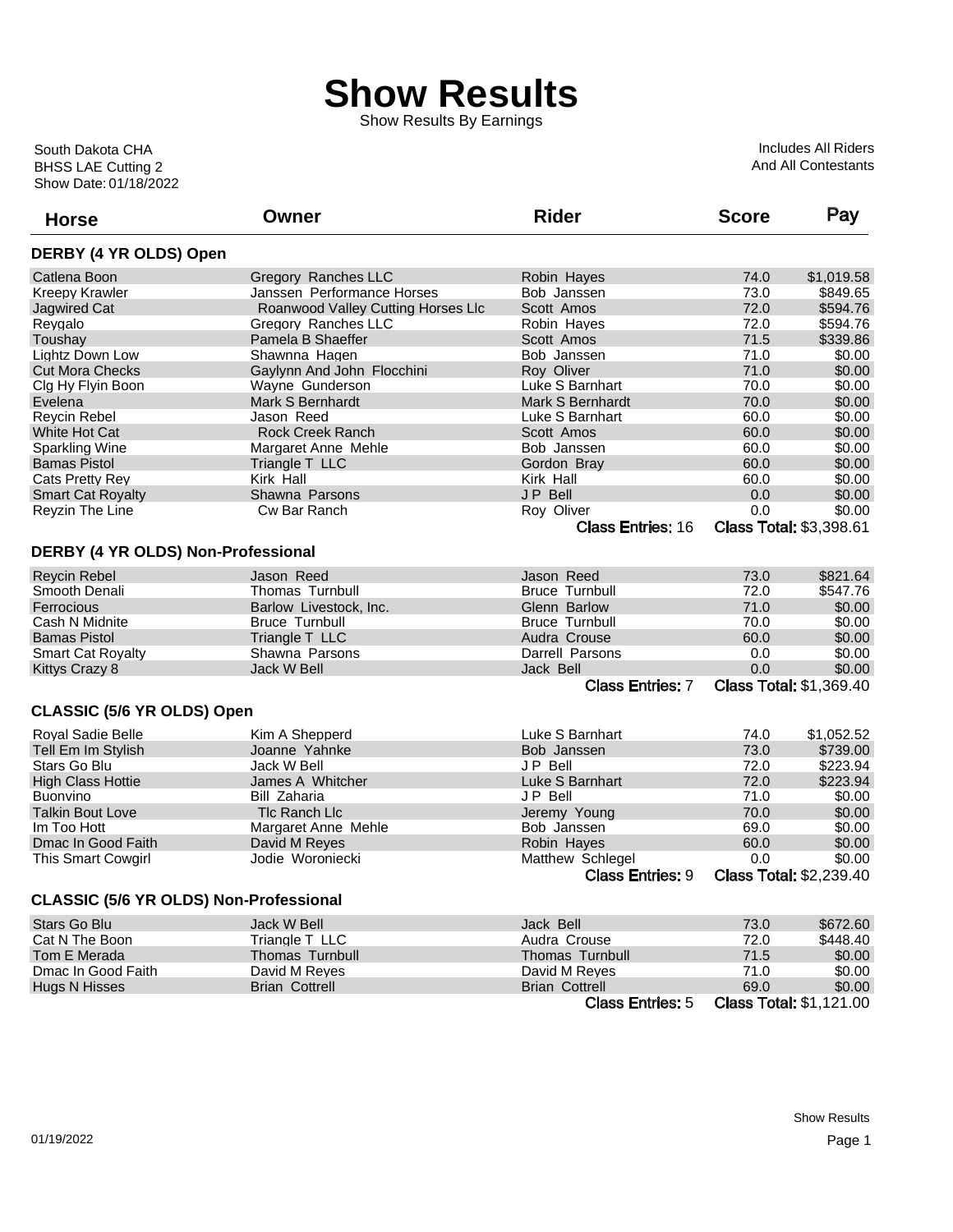## **Show Results**

Show Results By Earnings

Show Date: 01/18/2022 BHSS LAE Cutting 2 South Dakota CHA

Includes All Riders And All Contestants

| <b>Horse</b>                           | Owner                              | <b>Rider</b>             | <b>Score</b> | Pay                            |
|----------------------------------------|------------------------------------|--------------------------|--------------|--------------------------------|
| DERBY (4 YR OLDS) Open                 |                                    |                          |              |                                |
| Catlena Boon                           | Gregory Ranches LLC                | Robin Hayes              | 74.0         | \$1,019.58                     |
| <b>Kreepy Krawler</b>                  | Janssen Performance Horses         | Bob Janssen              | 73.0         | \$849.65                       |
| <b>Jagwired Cat</b>                    | Roanwood Valley Cutting Horses Llc | Scott Amos               | 72.0         | \$594.76                       |
| Reygalo                                | Gregory Ranches LLC                | Robin Hayes              | 72.0         | \$594.76                       |
| Toushay                                | Pamela B Shaeffer                  | Scott Amos               | 71.5         | \$339.86                       |
| Lightz Down Low                        | Shawnna Hagen                      | Bob Janssen              | 71.0         | \$0.00                         |
| <b>Cut Mora Checks</b>                 | Gaylynn And John Flocchini         | Roy Oliver               | 71.0         | \$0.00                         |
| Clg Hy Flyin Boon                      | Wayne Gunderson                    | Luke S Barnhart          | 70.0         | \$0.00                         |
| Evelena                                | Mark S Bernhardt                   | Mark S Bernhardt         | 70.0         | \$0.00                         |
| Reycin Rebel                           | Jason Reed                         | Luke S Barnhart          | 60.0         | \$0.00                         |
| White Hot Cat                          | Rock Creek Ranch                   | Scott Amos               | 60.0         | \$0.00                         |
| <b>Sparkling Wine</b>                  | Margaret Anne Mehle                | Bob Janssen              | 60.0         | \$0.00                         |
| <b>Bamas Pistol</b>                    | Triangle T LLC                     | Gordon Bray              | 60.0         | \$0.00                         |
| Cats Pretty Rey                        | Kirk Hall                          | Kirk Hall                | 60.0         | \$0.00                         |
| <b>Smart Cat Royalty</b>               | Shawna Parsons                     | JP Bell                  | 0.0          | \$0.00                         |
| Reyzin The Line                        | Cw Bar Ranch                       | Roy Oliver               | 0.0          | \$0.00                         |
|                                        |                                    | <b>Class Entries: 16</b> |              | <b>Class Total: \$3,398.61</b> |
|                                        |                                    |                          |              |                                |
| DERBY (4 YR OLDS) Non-Professional     |                                    |                          |              |                                |
| <b>Reycin Rebel</b>                    | Jason Reed                         | Jason Reed               | 73.0         | \$821.64                       |
| Smooth Denali                          | <b>Thomas Turnbull</b>             | <b>Bruce Turnbull</b>    | 72.0         | \$547.76                       |
| Ferrocious                             | Barlow Livestock, Inc.             | Glenn Barlow             | 71.0         | \$0.00                         |
| Cash N Midnite                         | <b>Bruce Turnbull</b>              | <b>Bruce Turnbull</b>    | 70.0         | \$0.00                         |
| <b>Bamas Pistol</b>                    | Triangle T LLC                     | Audra Crouse             | 60.0         | \$0.00                         |
| <b>Smart Cat Royalty</b>               | Shawna Parsons                     | Darrell Parsons          | 0.0          | \$0.00                         |
| Kittys Crazy 8                         | <b>Jack W Bell</b>                 | Jack Bell                | 0.0          | \$0.00                         |
|                                        |                                    | <b>Class Entries: 7</b>  |              | <b>Class Total: \$1,369.40</b> |
| CLASSIC (5/6 YR OLDS) Open             |                                    |                          |              |                                |
| Royal Sadie Belle                      | Kim A Shepperd                     | Luke S Barnhart          | 74.0         | \$1,052.52                     |
| Tell Em Im Stylish                     | Joanne Yahnke                      | Bob Janssen              | 73.0         | \$739.00                       |
| Stars Go Blu                           | Jack W Bell                        | JP Bell                  | 72.0         | \$223.94                       |
| <b>High Class Hottie</b>               | James A Whitcher                   | Luke S Barnhart          | 72.0         | \$223.94                       |
| Buonvino                               | Bill Zaharia                       | JP Bell                  | 71.0         | \$0.00                         |
| <b>Talkin Bout Love</b>                | <b>TIc Ranch LIc</b>               | Jeremy Young             | 70.0         | \$0.00                         |
| Im Too Hott                            | Margaret Anne Mehle                | Bob Janssen              | 69.0         | \$0.00                         |
| Dmac In Good Faith                     | David M Reyes                      | Robin Hayes              | 60.0         | \$0.00                         |
| This Smart Cowgirl                     | Jodie Woroniecki                   | Matthew Schlegel         | 0.0          | \$0.00                         |
|                                        |                                    | <b>Class Entries: 9</b>  |              | <b>Class Total: \$2,239.40</b> |
| CLASSIC (5/6 YR OLDS) Non-Professional |                                    |                          |              |                                |
| Stars Go Blu                           | Jack W Bell                        | Jack Bell                | 73.0         | \$672.60                       |
| Cat N The Boon                         | Triangle T LLC                     | Audra Crouse             | 72.0         | \$448.40                       |
| Tom E Merada                           | <b>Thomas Turnbull</b>             | <b>Thomas Turnbull</b>   | 71.5         | \$0.00                         |
| Dmac In Good Faith                     | David M Reyes                      | David M Reves            | 71.0         | \$0.00                         |
| <b>Hugs N Hisses</b>                   | <b>Brian Cottrell</b>              | <b>Brian Cottrell</b>    | 69.0         | \$0.00                         |
|                                        |                                    | <b>Class Entries: 5</b>  |              | <b>Class Total: \$1,121.00</b> |